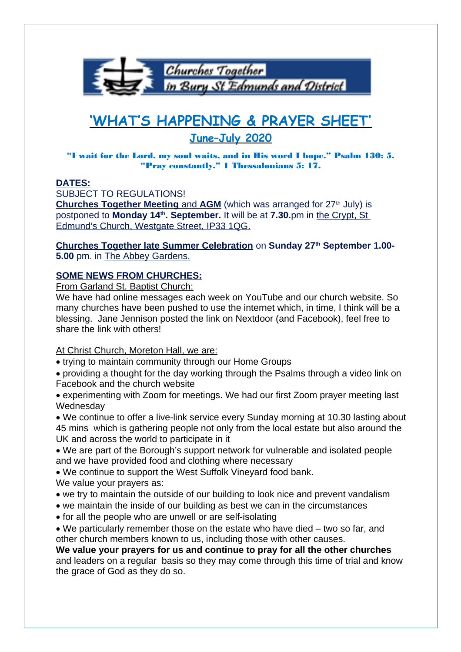

## **'WHAT'S HAPPENING & PRAYER SHEET' June–July 2020**

## "I wait for the Lord, my soul waits, and in His word I hope." Psalm 130: 5. "Pray constantly." 1 Thessalonians 5: 17.

## **DATES:**

SUBJECT TO REGULATIONS!

**Churches Together Meeting and AGM** (which was arranged for 27<sup>th</sup> July) is postponed to **Monday 14th . September.** It will be at **7.30.**pm in the Crypt, St Edmund's Church, Westgate Street, IP33 1QG.

**Churches Together late Summer Celebration** on **Sunday 27th September 1.00- 5.00** pm. in The Abbey Gardens.

## **SOME NEWS FROM CHURCHES:**

From Garland St. Baptist Church:

We have had online messages each week on YouTube and our church website. So many churches have been pushed to use the internet which, in time, I think will be a blessing. Jane Jennison posted the link on Nextdoor (and Facebook), feel free to share the link with others!

At Christ Church, Moreton Hall, we are:

- trying to maintain community through our Home Groups
- providing a thought for the day working through the Psalms through a video link on Facebook and the church website
- experimenting with Zoom for meetings. We had our first Zoom prayer meeting last **Wednesdav**
- We continue to offer a live-link service every Sunday morning at 10.30 lasting about 45 mins which is gathering people not only from the local estate but also around the UK and across the world to participate in it
- We are part of the Borough's support network for vulnerable and isolated people and we have provided food and clothing where necessary

 We continue to support the West Suffolk Vineyard food bank. We value your prayers as:

- we try to maintain the outside of our building to look nice and prevent vandalism
- we maintain the inside of our building as best we can in the circumstances
- for all the people who are unwell or are self-isolating
- We particularly remember those on the estate who have died two so far, and other church members known to us, including those with other causes.

**We value your prayers for us and continue to pray for all the other churches** and leaders on a regular basis so they may come through this time of trial and know the grace of God as they do so.